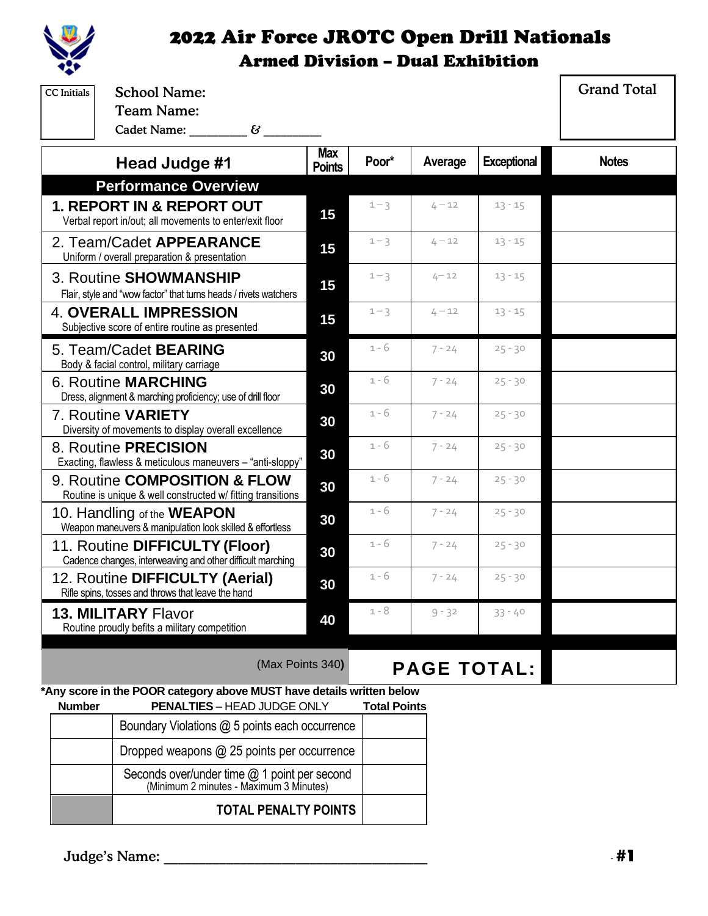

| <b>CC</b> Initials                                                                                                                    | <b>School Name:</b>                                                                                         |                             |                     |          |                    | <b>Grand Total</b> |
|---------------------------------------------------------------------------------------------------------------------------------------|-------------------------------------------------------------------------------------------------------------|-----------------------------|---------------------|----------|--------------------|--------------------|
|                                                                                                                                       | <b>Team Name:</b><br>Cadet Name: 63                                                                         |                             |                     |          |                    |                    |
|                                                                                                                                       | Head Judge #1                                                                                               | <b>Max</b><br><b>Points</b> | Poor*               | Average  | <b>Exceptional</b> | <b>Notes</b>       |
|                                                                                                                                       | <b>Performance Overview</b>                                                                                 |                             |                     |          |                    |                    |
| <b>1. REPORT IN &amp; REPORT OUT</b><br>Verbal report in/out; all movements to enter/exit floor                                       |                                                                                                             | 15                          | $1 - 3$             | $4 - 12$ | $13 - 15$          |                    |
| 2. Team/Cadet APPEARANCE<br>Uniform / overall preparation & presentation                                                              |                                                                                                             | 15                          | $1 - 3$             | $4 - 12$ | $13 - 15$          |                    |
| 3. Routine SHOWMANSHIP<br>Flair, style and "wow factor" that turns heads / rivets watchers                                            |                                                                                                             | 15                          | $1 - 3$             | $4 - 12$ | $13 - 15$          |                    |
| <b>4. OVERALL IMPRESSION</b><br>Subjective score of entire routine as presented                                                       |                                                                                                             | 15                          | $1 - 3$             | $4 - 12$ | $13 - 15$          |                    |
|                                                                                                                                       | 5. Team/Cadet <b>BEARING</b><br>Body & facial control, military carriage                                    | 30                          | 1 - 6               | $7 - 24$ | $25 - 30$          |                    |
|                                                                                                                                       | 6. Routine MARCHING<br>Dress, alignment & marching proficiency; use of drill floor                          | 30                          | 1 - 6               | $7 - 24$ | $25 - 30$          |                    |
|                                                                                                                                       | 7. Routine VARIETY<br>Diversity of movements to display overall excellence                                  | 30                          | 1 - 6               | $7 - 24$ | $25 - 30$          |                    |
|                                                                                                                                       | 8. Routine PRECISION<br>Exacting, flawless & meticulous maneuvers - "anti-sloppy"                           | 30                          | $1 - 6$             | $7 - 24$ | $25 - 30$          |                    |
|                                                                                                                                       | 9. Routine COMPOSITION & FLOW<br>Routine is unique & well constructed w/ fitting transitions                | 30                          | $1 - 6$             | $7 - 24$ | $25 - 30$          |                    |
|                                                                                                                                       | 10. Handling of the WEAPON<br>Weapon maneuvers & manipulation look skilled & effortless                     | 30                          | $1 - 6$             | $7 - 24$ | $25 - 30$          |                    |
|                                                                                                                                       | 11. Routine DIFFICULTY (Floor)<br>Cadence changes, interweaving and other difficult marching                | 30                          | $1 - 6$             | $7 - 24$ | $25 - 30$          |                    |
|                                                                                                                                       | 12. Routine DIFFICULTY (Aerial)<br>Rifle spins, tosses and throws that leave the hand                       | 30                          | 1 - 6               | $7 - 24$ | $25 - 30$          |                    |
|                                                                                                                                       | <b>13. MILITARY Flavor</b><br>Routine proudly befits a military competition                                 | 40                          | 1 - 8               | $9 - 32$ | $33 - 40$          |                    |
|                                                                                                                                       | (Max Points 340)                                                                                            |                             |                     |          | <b>PAGE TOTAL:</b> |                    |
| <b>Number</b>                                                                                                                         | *Any score in the POOR category above MUST have details written below<br><b>PENALTIES - HEAD JUDGE ONLY</b> |                             | <b>Total Points</b> |          |                    |                    |
|                                                                                                                                       | Boundary Violations @ 5 points each occurrence                                                              |                             |                     |          |                    |                    |
| Dropped weapons @ 25 points per occurrence<br>Seconds over/under time @ 1 point per second<br>(Minimum 2 minutes - Maximum 3 Minutes) |                                                                                                             |                             |                     |          |                    |                    |
|                                                                                                                                       |                                                                                                             |                             |                     |          |                    |                    |

**TOTAL PENALTY POINTS**

Judge's Name: \_\_\_\_\_\_\_\_\_\_\_\_\_\_\_\_\_\_\_\_\_\_\_\_\_\_\_\_\_\_\_\_\_\_\_\_\_\_ -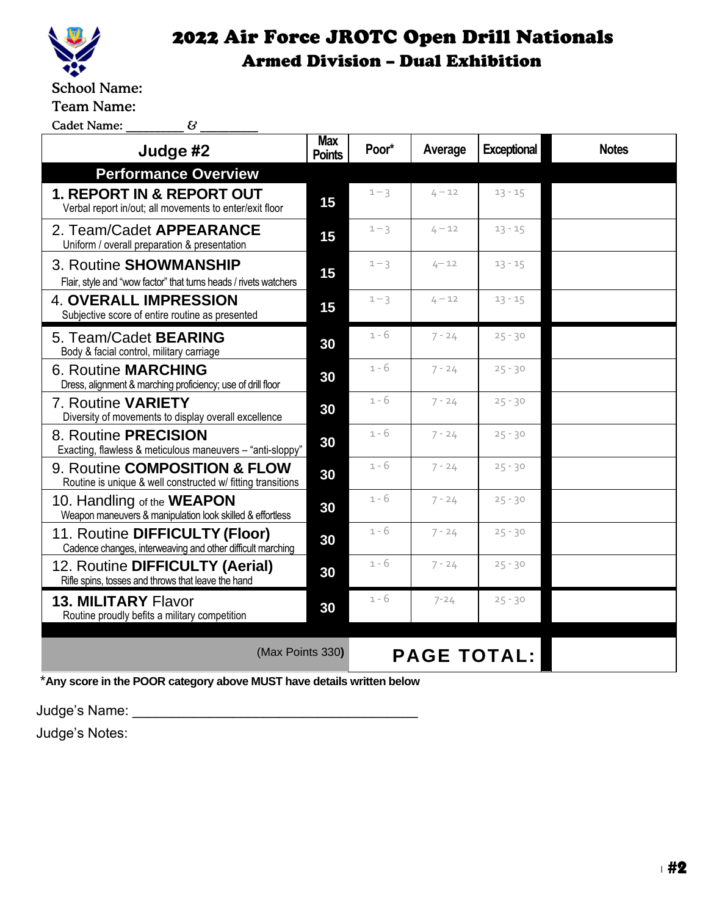

School Name:

Team Name:

 $\textsf{Cadet Name:}\qquad\qquad \qquad \qquad \qquad \textit{G}\qquad \qquad \qquad \qquad \textit{G}$ 

| Judge #2                                                                                        |    | Poor*              | Average  | <b>Exceptional</b> | <b>Notes</b> |  |  |
|-------------------------------------------------------------------------------------------------|----|--------------------|----------|--------------------|--------------|--|--|
| <b>Performance Overview</b>                                                                     |    |                    |          |                    |              |  |  |
| <b>1. REPORT IN &amp; REPORT OUT</b><br>Verbal report in/out; all movements to enter/exit floor | 15 | $1 - 3$            | $4 - 12$ | $13 - 15$          |              |  |  |
| 2. Team/Cadet APPEARANCE<br>Uniform / overall preparation & presentation                        |    | $1 - 3$            | $4 - 12$ | $13 - 15$          |              |  |  |
| 3. Routine SHOWMANSHIP<br>Flair, style and "wow factor" that turns heads / rivets watchers      |    | $1 - 3$            | $4 - 12$ | $13 - 15$          |              |  |  |
| <b>4. OVERALL IMPRESSION</b><br>Subjective score of entire routine as presented                 |    | $1 - 3$            | $4 - 12$ | $13 - 15$          |              |  |  |
| 5. Team/Cadet <b>BEARING</b><br>Body & facial control, military carriage                        | 30 | $1 - 6$            | $7 - 24$ | $25 - 30$          |              |  |  |
| <b>6. Routine MARCHING</b><br>Dress, alignment & marching proficiency; use of drill floor       | 30 | $1 - 6$            | $7 - 24$ | $25 - 30$          |              |  |  |
| 7. Routine VARIETY<br>Diversity of movements to display overall excellence                      | 30 | $1 - 6$            | $7 - 24$ | $25 - 30$          |              |  |  |
| 8. Routine PRECISION<br>Exacting, flawless & meticulous maneuvers - "anti-sloppy"               | 30 | $1 - 6$            | $7 - 24$ | $25 - 30$          |              |  |  |
| 9. Routine COMPOSITION & FLOW<br>Routine is unique & well constructed w/ fitting transitions    | 30 | $1 - 6$            | $7 - 24$ | $25 - 30$          |              |  |  |
| 10. Handling of the <b>WEAPON</b><br>Weapon maneuvers & manipulation look skilled & effortless  | 30 | $1 - 6$            | $7 - 24$ | $25 - 30$          |              |  |  |
| 11. Routine DIFFICULTY (Floor)<br>Cadence changes, interweaving and other difficult marching    | 30 | 1 - 6              | $7 - 24$ | $25 - 30$          |              |  |  |
| 12. Routine DIFFICULTY (Aerial)<br>Rifle spins, tosses and throws that leave the hand           |    | $1 - 6$            | $7 - 24$ | $25 - 30$          |              |  |  |
| <b>13. MILITARY Flavor</b><br>Routine proudly befits a military competition                     | 30 | $1 - 6$            | $7 - 24$ | $25 - 30$          |              |  |  |
| (Max Points 330)                                                                                |    | <b>PAGE TOTAL:</b> |          |                    |              |  |  |
| *Any score in the POOR category above MUST have details written below                           |    |                    |          |                    |              |  |  |

Judge's Name: \_\_\_\_\_\_\_\_\_\_\_\_\_\_\_\_\_\_\_\_\_\_\_\_\_\_\_\_\_\_\_\_\_\_\_\_\_

Judge's Notes: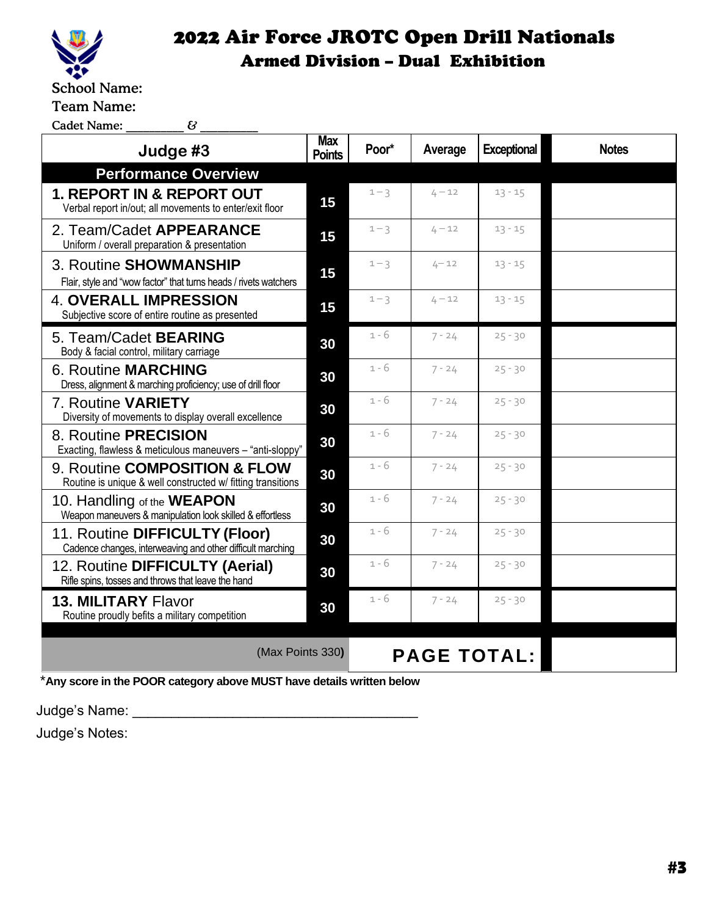

Team Name:

 $\text{Cadet Name:} \qquad \qquad \_ \qquad \mathcal{C} \qquad \qquad \_$ 

| Judge #3                                                                                        |    | Poor*              | Average  | <b>Exceptional</b> | <b>Notes</b> |
|-------------------------------------------------------------------------------------------------|----|--------------------|----------|--------------------|--------------|
| <b>Performance Overview</b>                                                                     |    |                    |          |                    |              |
| <b>1. REPORT IN &amp; REPORT OUT</b><br>Verbal report in/out; all movements to enter/exit floor |    | $1 - 3$            | $4 - 12$ | $13 - 15$          |              |
| 2. Team/Cadet APPEARANCE<br>Uniform / overall preparation & presentation                        |    | $1 - 3$            | $4 - 12$ | $13 - 15$          |              |
| 3. Routine SHOWMANSHIP<br>Flair, style and "wow factor" that turns heads / rivets watchers      |    | $1 - 3$            | $4 - 12$ | $13 - 15$          |              |
| <b>4. OVERALL IMPRESSION</b><br>Subjective score of entire routine as presented                 | 15 | $1 - 3$            | $4 - 12$ | $13 - 15$          |              |
| 5. Team/Cadet <b>BEARING</b><br>Body & facial control, military carriage                        | 30 | 1 - 6              | $7 - 24$ | $25 - 30$          |              |
| <b>6. Routine MARCHING</b><br>Dress, alignment & marching proficiency; use of drill floor       | 30 | $1 - 6$            | $7 - 24$ | $25 - 30$          |              |
| 7. Routine VARIETY<br>Diversity of movements to display overall excellence                      | 30 | $1 - 6$            | $7 - 24$ | $25 - 30$          |              |
| 8. Routine PRECISION<br>Exacting, flawless & meticulous maneuvers - "anti-sloppy"               | 30 | $1 - 6$            | $7 - 24$ | $25 - 30$          |              |
| 9. Routine COMPOSITION & FLOW<br>Routine is unique & well constructed w/ fitting transitions    | 30 | $1 - 6$            | $7 - 24$ | $25 - 30$          |              |
| 10. Handling of the <b>WEAPON</b><br>Weapon maneuvers & manipulation look skilled & effortless  | 30 | $1 - 6$            | $7 - 24$ | $25 - 30$          |              |
| 11. Routine DIFFICULTY (Floor)<br>Cadence changes, interweaving and other difficult marching    | 30 | $1 - 6$            | $7 - 24$ | $25 - 30$          |              |
| 12. Routine DIFFICULTY (Aerial)<br>Rifle spins, tosses and throws that leave the hand           |    | $1 - 6$            | $7 - 24$ | $25 - 30$          |              |
| <b>13. MILITARY Flavor</b><br>Routine proudly befits a military competition                     | 30 | 1 - 6              | $7 - 24$ | $25 - 30$          |              |
| (Max Points 330)                                                                                |    | <b>PAGE TOTAL:</b> |          |                    |              |

\***Any score in the POOR category above MUST have details written below**

Judge's Name: \_\_\_\_\_\_\_\_\_\_\_\_\_\_\_\_\_\_\_\_\_\_\_\_\_\_\_\_\_\_\_\_\_\_\_\_\_

Judge's Notes: